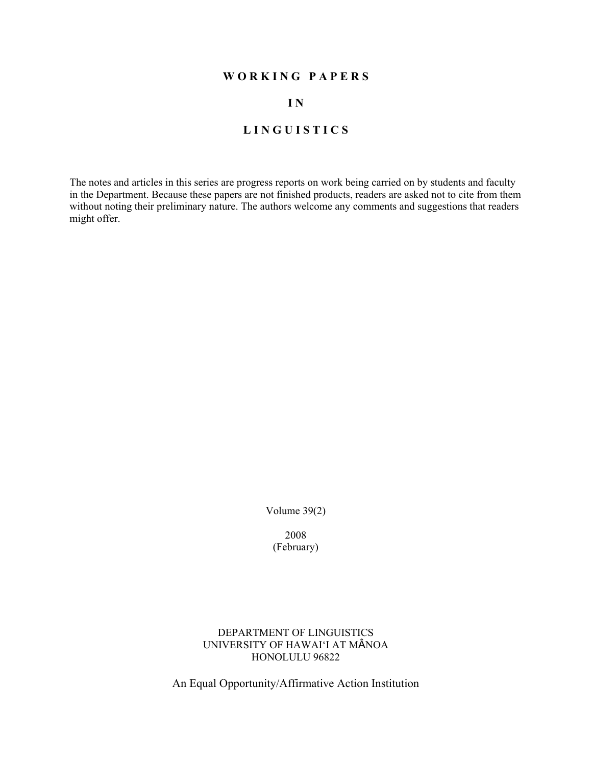# **W O R K I N G P A P E R S**

# **I N**

# **L I N G U I S T I C S**

The notes and articles in this series are progress reports on work being carried on by students and faculty in the Department. Because these papers are not finished products, readers are asked not to cite from them without noting their preliminary nature. The authors welcome any comments and suggestions that readers might offer.

Volume 39(2)

2008 (February)

DEPARTMENT OF LINGUISTICS UNIVERSITY OF HAWAI'I AT MÂNOA HONOLULU 96822

An Equal Opportunity/Affirmative Action Institution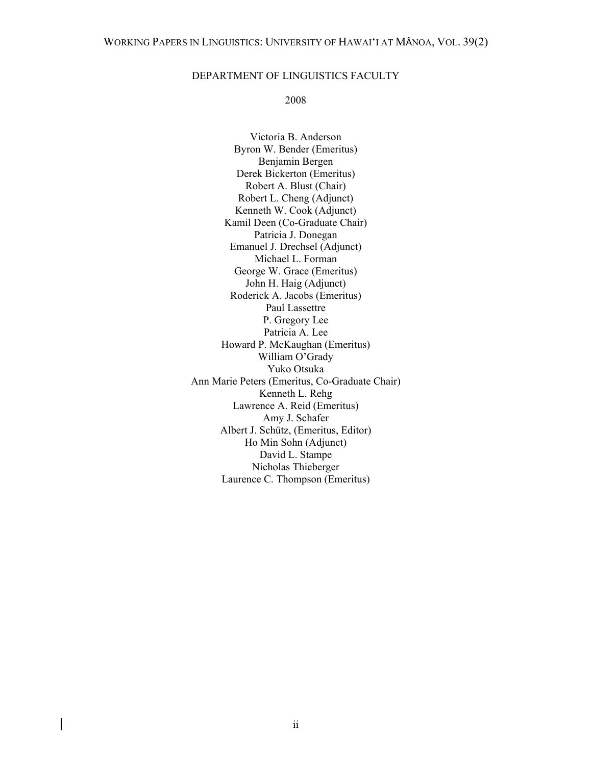#### DEPARTMENT OF LINGUISTICS FACULTY

#### 2008

Victoria B. Anderson Byron W. Bender (Emeritus) Benjamin Bergen Derek Bickerton (Emeritus) Robert A. Blust (Chair) Robert L. Cheng (Adjunct) Kenneth W. Cook (Adjunct) Kamil Deen (Co-Graduate Chair) Patricia J. Donegan Emanuel J. Drechsel (Adjunct) Michael L. Forman George W. Grace (Emeritus) John H. Haig (Adjunct) Roderick A. Jacobs (Emeritus) Paul Lassettre P. Gregory Lee Patricia A. Lee Howard P. McKaughan (Emeritus) William O'Grady Yuko Otsuka Ann Marie Peters (Emeritus, Co-Graduate Chair) Kenneth L. Rehg Lawrence A. Reid (Emeritus) Amy J. Schafer Albert J. Schütz, (Emeritus, Editor) Ho Min Sohn (Adjunct) David L. Stampe Nicholas Thieberger Laurence C. Thompson (Emeritus)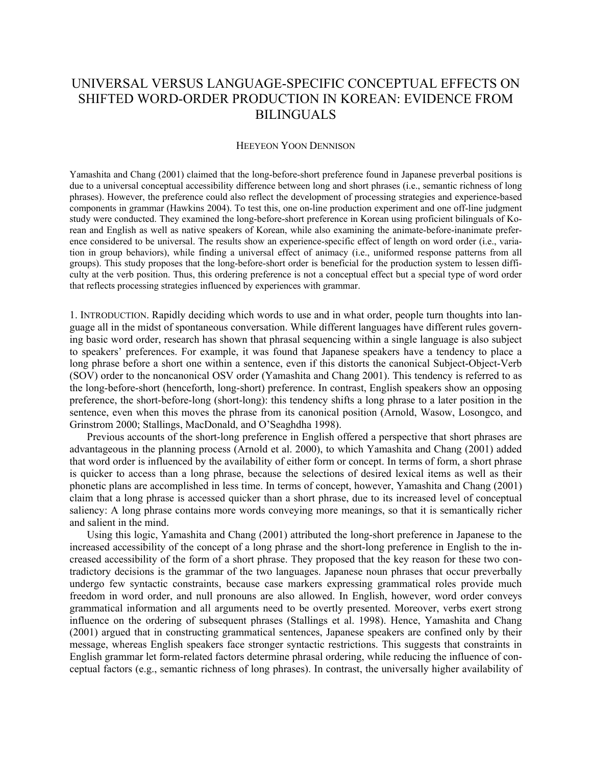# UNIVERSAL VERSUS LANGUAGE-SPECIFIC CONCEPTUAL EFFECTS ON SHIFTED WORD-ORDER PRODUCTION IN KOREAN: EVIDENCE FROM BILINGUALS

#### HEEYEON YOON DENNISON

Yamashita and Chang (2001) claimed that the long-before-short preference found in Japanese preverbal positions is due to a universal conceptual accessibility difference between long and short phrases (i.e., semantic richness of long phrases). However, the preference could also reflect the development of processing strategies and experience-based components in grammar (Hawkins 2004). To test this, one on-line production experiment and one off-line judgment study were conducted. They examined the long-before-short preference in Korean using proficient bilinguals of Korean and English as well as native speakers of Korean, while also examining the animate-before-inanimate preference considered to be universal. The results show an experience-specific effect of length on word order (i.e., variation in group behaviors), while finding a universal effect of animacy (i.e., uniformed response patterns from all groups). This study proposes that the long-before-short order is beneficial for the production system to lessen difficulty at the verb position. Thus, this ordering preference is not a conceptual effect but a special type of word order that reflects processing strategies influenced by experiences with grammar.

1. INTRODUCTION. Rapidly deciding which words to use and in what order, people turn thoughts into language all in the midst of spontaneous conversation. While different languages have different rules governing basic word order, research has shown that phrasal sequencing within a single language is also subject to speakers' preferences. For example, it was found that Japanese speakers have a tendency to place a long phrase before a short one within a sentence, even if this distorts the canonical Subject-Object-Verb (SOV) order to the noncanonical OSV order (Yamashita and Chang 2001). This tendency is referred to as the long-before-short (henceforth, long-short) preference. In contrast, English speakers show an opposing preference, the short-before-long (short-long): this tendency shifts a long phrase to a later position in the sentence, even when this moves the phrase from its canonical position (Arnold, Wasow, Losongco, and Grinstrom 2000; Stallings, MacDonald, and O'Seaghdha 1998).

Previous accounts of the short-long preference in English offered a perspective that short phrases are advantageous in the planning process (Arnold et al. 2000), to which Yamashita and Chang (2001) added that word order is influenced by the availability of either form or concept. In terms of form, a short phrase is quicker to access than a long phrase, because the selections of desired lexical items as well as their phonetic plans are accomplished in less time. In terms of concept, however, Yamashita and Chang (2001) claim that a long phrase is accessed quicker than a short phrase, due to its increased level of conceptual saliency: A long phrase contains more words conveying more meanings, so that it is semantically richer and salient in the mind.

Using this logic, Yamashita and Chang (2001) attributed the long-short preference in Japanese to the increased accessibility of the concept of a long phrase and the short-long preference in English to the increased accessibility of the form of a short phrase. They proposed that the key reason for these two contradictory decisions is the grammar of the two languages. Japanese noun phrases that occur preverbally undergo few syntactic constraints, because case markers expressing grammatical roles provide much freedom in word order, and null pronouns are also allowed. In English, however, word order conveys grammatical information and all arguments need to be overtly presented. Moreover, verbs exert strong influence on the ordering of subsequent phrases (Stallings et al. 1998). Hence, Yamashita and Chang (2001) argued that in constructing grammatical sentences, Japanese speakers are confined only by their message, whereas English speakers face stronger syntactic restrictions. This suggests that constraints in English grammar let form-related factors determine phrasal ordering, while reducing the influence of conceptual factors (e.g., semantic richness of long phrases). In contrast, the universally higher availability of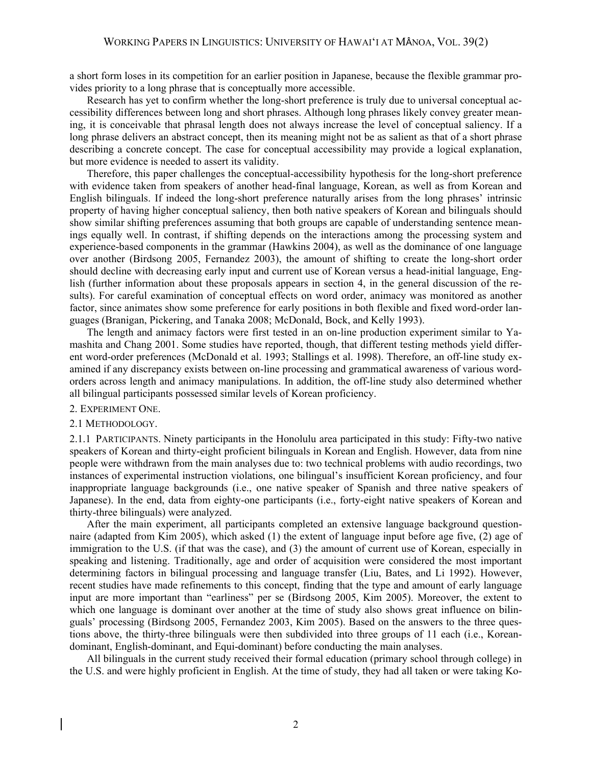a short form loses in its competition for an earlier position in Japanese, because the flexible grammar provides priority to a long phrase that is conceptually more accessible.

Research has yet to confirm whether the long-short preference is truly due to universal conceptual accessibility differences between long and short phrases. Although long phrases likely convey greater meaning, it is conceivable that phrasal length does not always increase the level of conceptual saliency. If a long phrase delivers an abstract concept, then its meaning might not be as salient as that of a short phrase describing a concrete concept. The case for conceptual accessibility may provide a logical explanation, but more evidence is needed to assert its validity.

Therefore, this paper challenges the conceptual-accessibility hypothesis for the long-short preference with evidence taken from speakers of another head-final language, Korean, as well as from Korean and English bilinguals. If indeed the long-short preference naturally arises from the long phrases' intrinsic property of having higher conceptual saliency, then both native speakers of Korean and bilinguals should show similar shifting preferences assuming that both groups are capable of understanding sentence meanings equally well. In contrast, if shifting depends on the interactions among the processing system and experience-based components in the grammar (Hawkins 2004), as well as the dominance of one language over another (Birdsong 2005, Fernandez 2003), the amount of shifting to create the long-short order should decline with decreasing early input and current use of Korean versus a head-initial language, English (further information about these proposals appears in section 4, in the general discussion of the results). For careful examination of conceptual effects on word order, animacy was monitored as another factor, since animates show some preference for early positions in both flexible and fixed word-order languages (Branigan, Pickering, and Tanaka 2008; McDonald, Bock, and Kelly 1993).

The length and animacy factors were first tested in an on-line production experiment similar to Yamashita and Chang 2001. Some studies have reported, though, that different testing methods yield different word-order preferences (McDonald et al. 1993; Stallings et al. 1998). Therefore, an off-line study examined if any discrepancy exists between on-line processing and grammatical awareness of various wordorders across length and animacy manipulations. In addition, the off-line study also determined whether all bilingual participants possessed similar levels of Korean proficiency.

#### 2. EXPERIMENT ONE.

#### 2.1 METHODOLOGY.

2.1.1 PARTICIPANTS. Ninety participants in the Honolulu area participated in this study: Fifty-two native speakers of Korean and thirty-eight proficient bilinguals in Korean and English. However, data from nine people were withdrawn from the main analyses due to: two technical problems with audio recordings, two instances of experimental instruction violations, one bilingual's insufficient Korean proficiency, and four inappropriate language backgrounds (i.e., one native speaker of Spanish and three native speakers of Japanese). In the end, data from eighty-one participants (i.e., forty-eight native speakers of Korean and thirty-three bilinguals) were analyzed.

After the main experiment, all participants completed an extensive language background questionnaire (adapted from Kim 2005), which asked (1) the extent of language input before age five, (2) age of immigration to the U.S. (if that was the case), and (3) the amount of current use of Korean, especially in speaking and listening. Traditionally, age and order of acquisition were considered the most important determining factors in bilingual processing and language transfer (Liu, Bates, and Li 1992). However, recent studies have made refinements to this concept, finding that the type and amount of early language input are more important than "earliness" per se (Birdsong 2005, Kim 2005). Moreover, the extent to which one language is dominant over another at the time of study also shows great influence on bilinguals' processing (Birdsong 2005, Fernandez 2003, Kim 2005). Based on the answers to the three questions above, the thirty-three bilinguals were then subdivided into three groups of 11 each (i.e., Koreandominant, English-dominant, and Equi-dominant) before conducting the main analyses.

All bilinguals in the current study received their formal education (primary school through college) in the U.S. and were highly proficient in English. At the time of study, they had all taken or were taking Ko-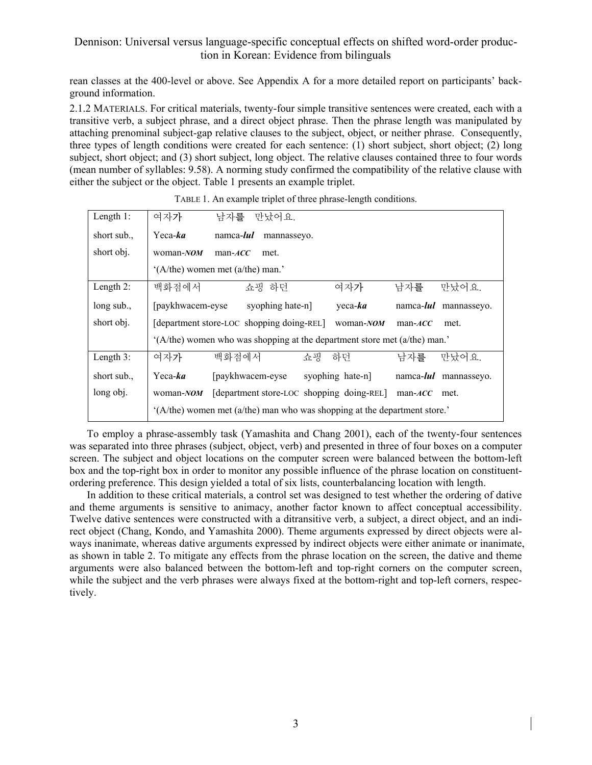rean classes at the 400-level or above. See Appendix A for a more detailed report on participants' background information.

2.1.2 MATERIALS. For critical materials, twenty-four simple transitive sentences were created, each with a transitive verb, a subject phrase, and a direct object phrase. Then the phrase length was manipulated by attaching prenominal subject-gap relative clauses to the subject, object, or neither phrase. Consequently, three types of length conditions were created for each sentence: (1) short subject, short object; (2) long subject, short object; and (3) short subject, long object. The relative clauses contained three to four words (mean number of syllables: 9.58). A norming study confirmed the compatibility of the relative clause with either the subject or the object. Table 1 presents an example triplet.

| Length $1$ : | 여자가                                                                       |       | 남자를 만났어요.                                 |    |                                           |                   |                               |
|--------------|---------------------------------------------------------------------------|-------|-------------------------------------------|----|-------------------------------------------|-------------------|-------------------------------|
| short sub.,  | $Y$ eca- <i>ka</i><br>namca- <i>lul</i><br>mannasseyo.                    |       |                                           |    |                                           |                   |                               |
| short obj.   | woman-NOM<br>$man-ACC$<br>met.                                            |       |                                           |    |                                           |                   |                               |
|              | '(A/the) women met (a/the) man.'                                          |       |                                           |    |                                           |                   |                               |
| Length $2$ : | 백화점에서                                                                     |       | 쇼핑 하던                                     |    | 여자가                                       | 남자를               | 만났어요.                         |
| long sub.,   | [paykhwacem-eyse]                                                         |       | syophing hate-n]                          |    | $veca$ - <i>ka</i>                        | namca- <i>lul</i> | mannassevo.                   |
| short obj.   |                                                                           |       | [department store-LOC shopping doing-REL] |    | woman-NOM                                 | $man-ACC$         | met.                          |
|              | $(A/the)$ women who was shopping at the department store met (a/the) man. |       |                                           |    |                                           |                   |                               |
| Length $3$ : | 여자가                                                                       | 백화점에서 |                                           | 쇼핑 | 하던                                        | 남자를               | 만났어요                          |
| short sub.,  | $Y$ eca- <i>ka</i>                                                        |       | [paykhwacem-eyse]                         |    | syophing hate-n                           |                   | namca- <i>lul</i> mannasseyo. |
| long obj.    | woman-NOM                                                                 |       |                                           |    | [department store-LOC shopping doing-REL] | $man-ACC$         | met.                          |
|              | '(A/the) women met (a/the) man who was shopping at the department store.' |       |                                           |    |                                           |                   |                               |

TABLE 1. An example triplet of three phrase-length conditions.

To employ a phrase-assembly task (Yamashita and Chang 2001), each of the twenty-four sentences was separated into three phrases (subject, object, verb) and presented in three of four boxes on a computer screen. The subject and object locations on the computer screen were balanced between the bottom-left box and the top-right box in order to monitor any possible influence of the phrase location on constituentordering preference. This design yielded a total of six lists, counterbalancing location with length.

In addition to these critical materials, a control set was designed to test whether the ordering of dative and theme arguments is sensitive to animacy, another factor known to affect conceptual accessibility. Twelve dative sentences were constructed with a ditransitive verb, a subject, a direct object, and an indirect object (Chang, Kondo, and Yamashita 2000). Theme arguments expressed by direct objects were always inanimate, whereas dative arguments expressed by indirect objects were either animate or inanimate, as shown in table 2. To mitigate any effects from the phrase location on the screen, the dative and theme arguments were also balanced between the bottom-left and top-right corners on the computer screen, while the subject and the verb phrases were always fixed at the bottom-right and top-left corners, respectively.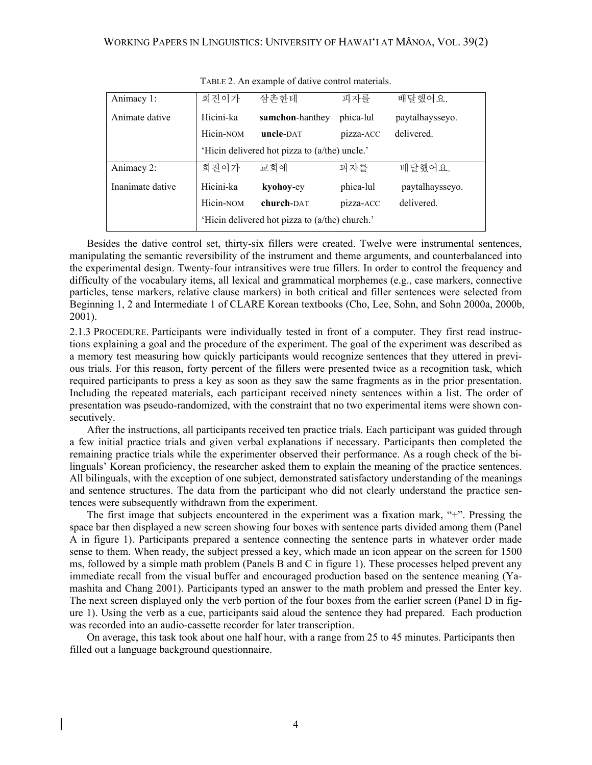| Animacy 1:       | 희진이가                                           | 삼촌하테            | 피자를       | 배달했어요.          |  |
|------------------|------------------------------------------------|-----------------|-----------|-----------------|--|
| Animate dative   | Hicini-ka                                      | samchon-hanthey | phica-lul | paytalhaysseyo. |  |
|                  | Hicin-NOM                                      | uncle-DAT       | pizza-ACC | delivered.      |  |
|                  | 'Hicin delivered hot pizza to (a/the) uncle.'  |                 |           |                 |  |
| Animacy 2:       | 희진이가                                           | 교회에             | 피자를       | 배달했어요.          |  |
| Inanimate dative | Hicini-ka                                      | kyohoy-ey       | phica-lul | paytalhaysseyo. |  |
|                  | Hicin-NOM                                      | church-DAT      | pizza-ACC | delivered.      |  |
|                  | 'Hicin delivered hot pizza to (a/the) church.' |                 |           |                 |  |

TABLE 2. An example of dative control materials.

Besides the dative control set, thirty-six fillers were created. Twelve were instrumental sentences, manipulating the semantic reversibility of the instrument and theme arguments, and counterbalanced into the experimental design. Twenty-four intransitives were true fillers. In order to control the frequency and difficulty of the vocabulary items, all lexical and grammatical morphemes (e.g., case markers, connective particles, tense markers, relative clause markers) in both critical and filler sentences were selected from Beginning 1, 2 and Intermediate 1 of CLARE Korean textbooks (Cho, Lee, Sohn, and Sohn 2000a, 2000b, 2001).

2.1.3 PROCEDURE. Participants were individually tested in front of a computer. They first read instructions explaining a goal and the procedure of the experiment. The goal of the experiment was described as a memory test measuring how quickly participants would recognize sentences that they uttered in previous trials. For this reason, forty percent of the fillers were presented twice as a recognition task, which required participants to press a key as soon as they saw the same fragments as in the prior presentation. Including the repeated materials, each participant received ninety sentences within a list. The order of presentation was pseudo-randomized, with the constraint that no two experimental items were shown consecutively.

After the instructions, all participants received ten practice trials. Each participant was guided through a few initial practice trials and given verbal explanations if necessary. Participants then completed the remaining practice trials while the experimenter observed their performance. As a rough check of the bilinguals' Korean proficiency, the researcher asked them to explain the meaning of the practice sentences. All bilinguals, with the exception of one subject, demonstrated satisfactory understanding of the meanings and sentence structures. The data from the participant who did not clearly understand the practice sentences were subsequently withdrawn from the experiment.

The first image that subjects encountered in the experiment was a fixation mark, "+". Pressing the space bar then displayed a new screen showing four boxes with sentence parts divided among them (Panel A in figure 1). Participants prepared a sentence connecting the sentence parts in whatever order made sense to them. When ready, the subject pressed a key, which made an icon appear on the screen for 1500 ms, followed by a simple math problem (Panels B and C in figure 1). These processes helped prevent any immediate recall from the visual buffer and encouraged production based on the sentence meaning (Yamashita and Chang 2001). Participants typed an answer to the math problem and pressed the Enter key. The next screen displayed only the verb portion of the four boxes from the earlier screen (Panel D in figure 1). Using the verb as a cue, participants said aloud the sentence they had prepared. Each production was recorded into an audio-cassette recorder for later transcription.

On average, this task took about one half hour, with a range from 25 to 45 minutes. Participants then filled out a language background questionnaire.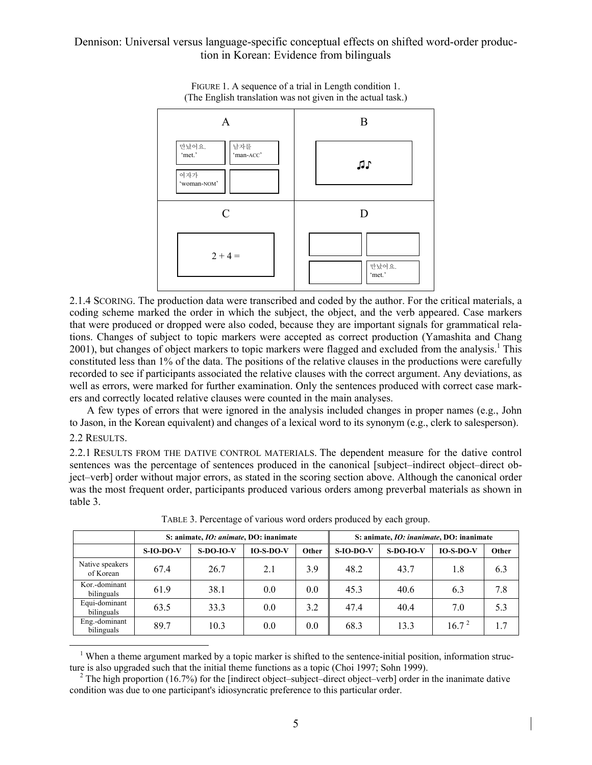

FIGURE 1. A sequence of a trial in Length condition 1. (The English translation was not given in the actual task.)

2.1.4 SCORING. The production data were transcribed and coded by the author. For the critical materials, a coding scheme marked the order in which the subject, the object, and the verb appeared. Case markers that were produced or dropped were also coded, because they are important signals for grammatical relations. Changes of subject to topic markers were accepted as correct production (Yamashita and Chang 2001), but changes of object markers to topic markers were flagged and excluded from the analysis.<sup>1</sup> This constituted less than 1% of the data. The positions of the relative clauses in the productions were carefully recorded to see if participants associated the relative clauses with the correct argument. Any deviations, as well as errors, were marked for further examination. Only the sentences produced with correct case markers and correctly located relative clauses were counted in the main analyses.

A few types of errors that were ignored in the analysis included changes in proper names (e.g., John to Jason, in the Korean equivalent) and changes of a lexical word to its synonym (e.g., clerk to salesperson). 2.2 RESULTS.

#### 2.2.1 RESULTS FROM THE DATIVE CONTROL MATERIALS. The dependent measure for the dative control sentences was the percentage of sentences produced in the canonical [subject–indirect object–direct object–verb] order without major errors, as stated in the scoring section above. Although the canonical order was the most frequent order, participants produced various orders among preverbal materials as shown in table 3.

|                              | S: animate, <i>IO: animate</i> , DO: inanimate |             |             |       | S: animate, <i>IO: inanimate</i> , <i>DO: inanimate</i> |             |                   |       |
|------------------------------|------------------------------------------------|-------------|-------------|-------|---------------------------------------------------------|-------------|-------------------|-------|
|                              | $S$ -IO-DO-V                                   | $S-DO-IO-V$ | $IO-S-DO-V$ | Other | $S$ -IO-DO-V                                            | $S-DO-IO-V$ | $IO-S-DO-V$       | Other |
| Native speakers<br>of Korean | 67.4                                           | 26.7        | 2.1         | 3.9   | 48.2                                                    | 43.7        | 1.8               | 6.3   |
| Kor.-dominant<br>bilinguals  | 61.9                                           | 38.1        | 0.0         | 0.0   | 45.3                                                    | 40.6        | 6.3               | 7.8   |
| Equi-dominant<br>bilinguals  | 63.5                                           | 33.3        | 0.0         | 3.2   | 47.4                                                    | 40.4        | 7.0               | 5.3   |
| Eng.-dominant<br>bilinguals  | 89.7                                           | 10.3        | 0.0         | 0.0   | 68.3                                                    | 13.3        | 16.7 <sup>2</sup> | 1.7   |

TABLE 3. Percentage of various word orders produced by each group.

<sup>1</sup> When a theme argument marked by a topic marker is shifted to the sentence-initial position, information structure is also upgraded such that the initial theme functions as a topic (Choi 1997; Sohn 1999).

<sup>2</sup> The high proportion (16.7%) for the [indirect object–subject–direct object–verb] order in the inanimate dative condition was due to one participant's idiosyncratic preference to this particular order.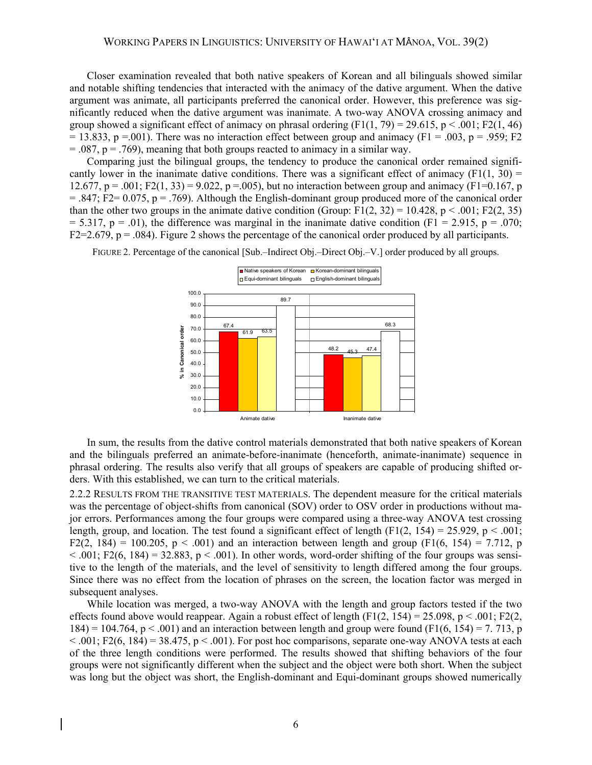Closer examination revealed that both native speakers of Korean and all bilinguals showed similar and notable shifting tendencies that interacted with the animacy of the dative argument. When the dative argument was animate, all participants preferred the canonical order. However, this preference was significantly reduced when the dative argument was inanimate. A two-way ANOVA crossing animacy and group showed a significant effect of animacy on phrasal ordering  $(F1(1, 79) = 29.615, p \le .001$ ; F2(1, 46)  $= 13.833$ , p =.001). There was no interaction effect between group and animacy (F1 = .003, p = .959; F2  $= .087$ ,  $p = .769$ ), meaning that both groups reacted to animacy in a similar way.

Comparing just the bilingual groups, the tendency to produce the canonical order remained significantly lower in the inanimate dative conditions. There was a significant effect of animacy (F1(1, 30) = 12.677, p = .001; F2(1, 33) = 9.022, p = .005), but no interaction between group and animacy (F1=0.167, p  $= 0.847$ ; F2= 0.075, p = .769). Although the English-dominant group produced more of the canonical order than the other two groups in the animate dative condition (Group: F1(2, 32) = 10.428, p < .001; F2(2, 35)  $= 5.317$ ,  $p = .01$ ), the difference was marginal in the inanimate dative condition (F1 = 2.915, p = .070; F2=2.679,  $p = .084$ ). Figure 2 shows the percentage of the canonical order produced by all participants.



FIGURE 2. Percentage of the canonical [Sub.–Indirect Obj.–Direct Obj.–V.] order produced by all groups.

In sum, the results from the dative control materials demonstrated that both native speakers of Korean and the bilinguals preferred an animate-before-inanimate (henceforth, animate-inanimate) sequence in phrasal ordering. The results also verify that all groups of speakers are capable of producing shifted orders. With this established, we can turn to the critical materials.

2.2.2 RESULTS FROM THE TRANSITIVE TEST MATERIALS. The dependent measure for the critical materials was the percentage of object-shifts from canonical (SOV) order to OSV order in productions without major errors. Performances among the four groups were compared using a three-way ANOVA test crossing length, group, and location. The test found a significant effect of length (F1(2, 154) = 25.929, p < .001; F2(2, 184) = 100.205, p < .001) and an interaction between length and group (F1(6, 154) = 7.712, p  $< .001$ ; F2(6, 184) = 32.883, p  $< .001$ ). In other words, word-order shifting of the four groups was sensitive to the length of the materials, and the level of sensitivity to length differed among the four groups. Since there was no effect from the location of phrases on the screen, the location factor was merged in subsequent analyses.

While location was merged, a two-way ANOVA with the length and group factors tested if the two effects found above would reappear. Again a robust effect of length (F1(2, 154) = 25.098, p < .001; F2(2,  $184$ ) = 104.764, p < .001) and an interaction between length and group were found (F1(6, 154) = 7. 713, p  $< .001$ ; F2(6, 184) = 38.475, p  $< .001$ ). For post hoc comparisons, separate one-way ANOVA tests at each of the three length conditions were performed. The results showed that shifting behaviors of the four groups were not significantly different when the subject and the object were both short. When the subject was long but the object was short, the English-dominant and Equi-dominant groups showed numerically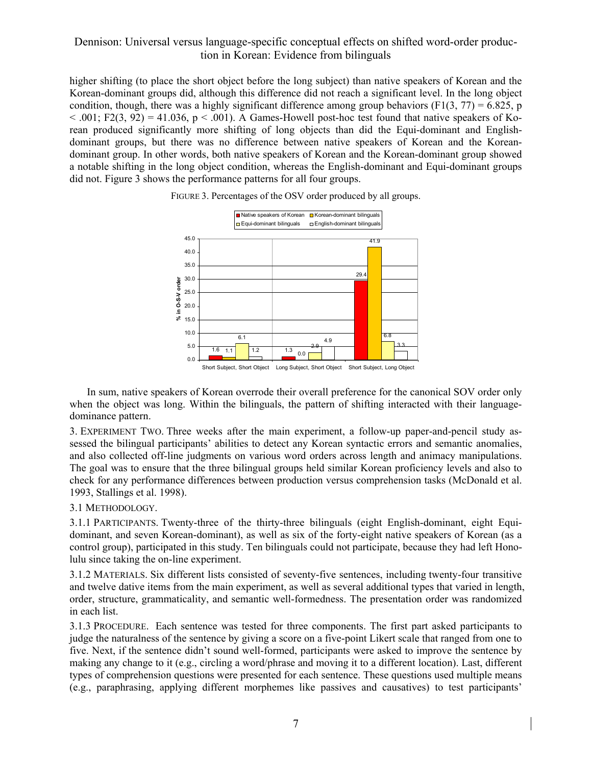higher shifting (to place the short object before the long subject) than native speakers of Korean and the Korean-dominant groups did, although this difference did not reach a significant level. In the long object condition, though, there was a highly significant difference among group behaviors (F1(3, 77) = 6.825, p  $< .001$ ; F2(3, 92) = 41.036, p  $< .001$ ). A Games-Howell post-hoc test found that native speakers of Korean produced significantly more shifting of long objects than did the Equi-dominant and Englishdominant groups, but there was no difference between native speakers of Korean and the Koreandominant group. In other words, both native speakers of Korean and the Korean-dominant group showed a notable shifting in the long object condition, whereas the English-dominant and Equi-dominant groups did not. Figure 3 shows the performance patterns for all four groups.



FIGURE 3. Percentages of the OSV order produced by all groups.

In sum, native speakers of Korean overrode their overall preference for the canonical SOV order only when the object was long. Within the bilinguals, the pattern of shifting interacted with their languagedominance pattern.

3. EXPERIMENT TWO. Three weeks after the main experiment, a follow-up paper-and-pencil study assessed the bilingual participants' abilities to detect any Korean syntactic errors and semantic anomalies, and also collected off-line judgments on various word orders across length and animacy manipulations. The goal was to ensure that the three bilingual groups held similar Korean proficiency levels and also to check for any performance differences between production versus comprehension tasks (McDonald et al. 1993, Stallings et al. 1998).

#### 3.1 METHODOLOGY.

3.1.1 PARTICIPANTS. Twenty-three of the thirty-three bilinguals (eight English-dominant, eight Equidominant, and seven Korean-dominant), as well as six of the forty-eight native speakers of Korean (as a control group), participated in this study. Ten bilinguals could not participate, because they had left Honolulu since taking the on-line experiment.

3.1.2 MATERIALS. Six different lists consisted of seventy-five sentences, including twenty-four transitive and twelve dative items from the main experiment, as well as several additional types that varied in length, order, structure, grammaticality, and semantic well-formedness. The presentation order was randomized in each list.

3.1.3 PROCEDURE. Each sentence was tested for three components. The first part asked participants to judge the naturalness of the sentence by giving a score on a five-point Likert scale that ranged from one to five. Next, if the sentence didn't sound well-formed, participants were asked to improve the sentence by making any change to it (e.g., circling a word/phrase and moving it to a different location). Last, different types of comprehension questions were presented for each sentence. These questions used multiple means (e.g., paraphrasing, applying different morphemes like passives and causatives) to test participants'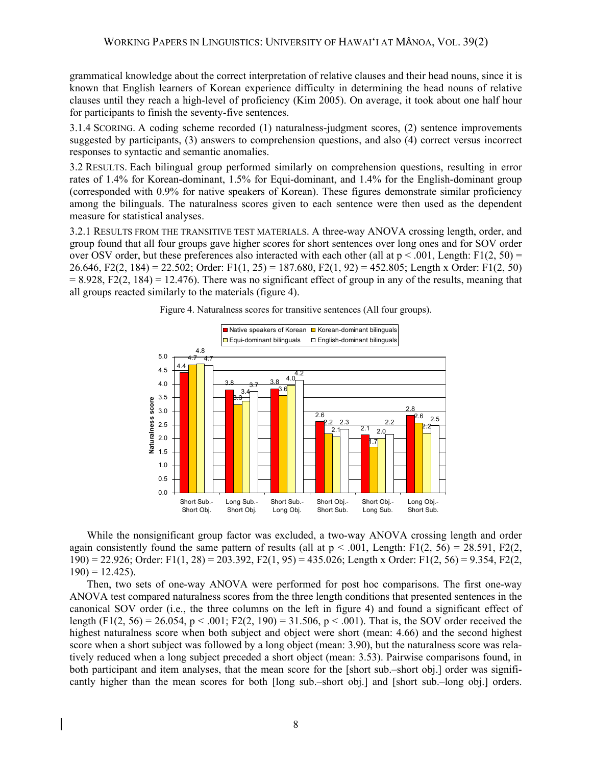grammatical knowledge about the correct interpretation of relative clauses and their head nouns, since it is known that English learners of Korean experience difficulty in determining the head nouns of relative clauses until they reach a high-level of proficiency (Kim 2005). On average, it took about one half hour for participants to finish the seventy-five sentences.

3.1.4 SCORING. A coding scheme recorded (1) naturalness-judgment scores, (2) sentence improvements suggested by participants, (3) answers to comprehension questions, and also (4) correct versus incorrect responses to syntactic and semantic anomalies.

3.2 RESULTS. Each bilingual group performed similarly on comprehension questions, resulting in error rates of 1.4% for Korean-dominant, 1.5% for Equi-dominant, and 1.4% for the English-dominant group (corresponded with 0.9% for native speakers of Korean). These figures demonstrate similar proficiency among the bilinguals. The naturalness scores given to each sentence were then used as the dependent measure for statistical analyses.

3.2.1 RESULTS FROM THE TRANSITIVE TEST MATERIALS. A three-way ANOVA crossing length, order, and group found that all four groups gave higher scores for short sentences over long ones and for SOV order over OSV order, but these preferences also interacted with each other (all at  $p < .001$ , Length: F1(2, 50) = 26.646, F2(2, 184) = 22.502; Order: F1(1, 25) = 187.680, F2(1, 92) = 452.805; Length x Order: F1(2, 50)  $= 8.928$ , F2(2, 184) = 12.476). There was no significant effect of group in any of the results, meaning that all groups reacted similarly to the materials (figure 4).



Figure 4. Naturalness scores for transitive sentences (All four groups).

While the nonsignificant group factor was excluded, a two-way ANOVA crossing length and order again consistently found the same pattern of results (all at  $p < .001$ , Length: F1(2, 56) = 28.591, F2(2, 190) = 22.926; Order: F1(1, 28) = 203.392, F2(1, 95) = 435.026; Length x Order: F1(2, 56) = 9.354, F2(2,  $190$ ) = 12.425).

Then, two sets of one-way ANOVA were performed for post hoc comparisons. The first one-way ANOVA test compared naturalness scores from the three length conditions that presented sentences in the canonical SOV order (i.e., the three columns on the left in figure 4) and found a significant effect of length (F1(2, 56) = 26.054, p < .001; F2(2, 190) = 31.506, p < .001). That is, the SOV order received the highest naturalness score when both subject and object were short (mean: 4.66) and the second highest score when a short subject was followed by a long object (mean: 3.90), but the naturalness score was relatively reduced when a long subject preceded a short object (mean: 3.53). Pairwise comparisons found, in both participant and item analyses, that the mean score for the [short sub.–short obj.] order was significantly higher than the mean scores for both [long sub.–short obj.] and [short sub.–long obj.] orders.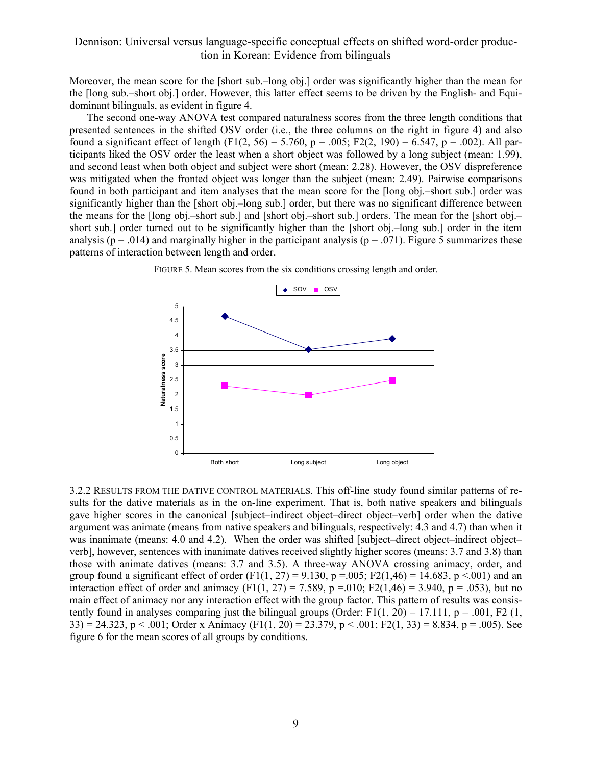Moreover, the mean score for the [short sub.–long obj.] order was significantly higher than the mean for the [long sub.–short obj.] order. However, this latter effect seems to be driven by the English- and Equidominant bilinguals, as evident in figure 4.

The second one-way ANOVA test compared naturalness scores from the three length conditions that presented sentences in the shifted OSV order (i.e., the three columns on the right in figure 4) and also found a significant effect of length (F1(2, 56) = 5.760, p = .005; F2(2, 190) = 6.547, p = .002). All participants liked the OSV order the least when a short object was followed by a long subject (mean: 1.99), and second least when both object and subject were short (mean: 2.28). However, the OSV dispreference was mitigated when the fronted object was longer than the subject (mean: 2.49). Pairwise comparisons found in both participant and item analyses that the mean score for the [long obj.–short sub.] order was significantly higher than the [short obj.–long sub.] order, but there was no significant difference between the means for the [long obj.–short sub.] and [short obj.–short sub.] orders. The mean for the [short obj.– short sub.] order turned out to be significantly higher than the [short obj.–long sub.] order in the item analysis ( $p = .014$ ) and marginally higher in the participant analysis ( $p = .071$ ). Figure 5 summarizes these patterns of interaction between length and order.



FIGURE 5. Mean scores from the six conditions crossing length and order.

3.2.2 RESULTS FROM THE DATIVE CONTROL MATERIALS. This off-line study found similar patterns of results for the dative materials as in the on-line experiment. That is, both native speakers and bilinguals gave higher scores in the canonical [subject–indirect object–direct object–verb] order when the dative argument was animate (means from native speakers and bilinguals, respectively: 4.3 and 4.7) than when it was inanimate (means: 4.0 and 4.2). When the order was shifted [subject–direct object–indirect object– verb], however, sentences with inanimate datives received slightly higher scores (means: 3.7 and 3.8) than those with animate datives (means: 3.7 and 3.5). A three-way ANOVA crossing animacy, order, and group found a significant effect of order (F1(1, 27) = 9.130, p = 0.05; F2(1,46) = 14.683, p < 0.01) and an interaction effect of order and animacy (F1(1, 27) = 7.589, p =.010; F2(1,46) = 3.940, p = .053), but no main effect of animacy nor any interaction effect with the group factor. This pattern of results was consistently found in analyses comparing just the bilingual groups (Order: F1(1, 20) = 17.111,  $p = .001$ , F2 (1,  $33$ ) = 24.323, p < .001; Order x Animacy (F1(1, 20) = 23.379, p < .001; F2(1, 33) = 8.834, p = .005). See figure 6 for the mean scores of all groups by conditions.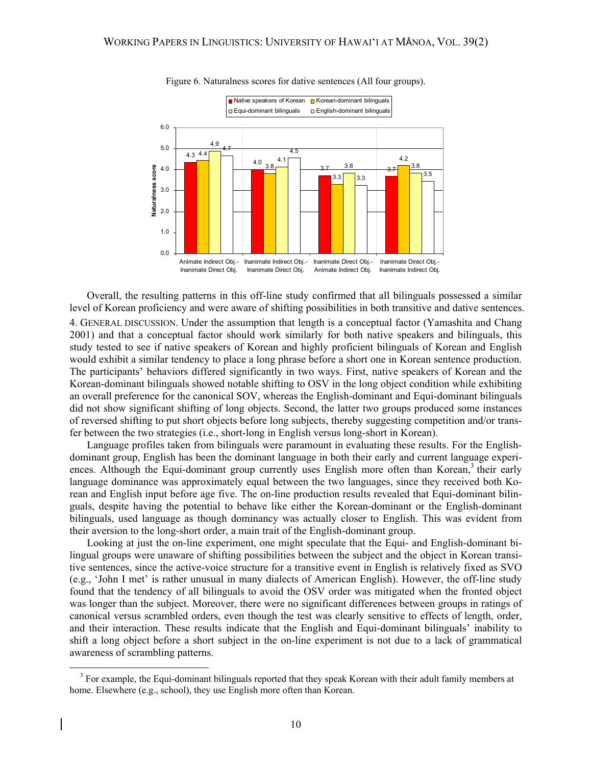

Figure 6. Naturalness scores for dative sentences (All four groups).

Overall, the resulting patterns in this off-line study confirmed that all bilinguals possessed a similar level of Korean proficiency and were aware of shifting possibilities in both transitive and dative sentences. 4. GENERAL DISCUSSION. Under the assumption that length is a conceptual factor (Yamashita and Chang 2001) and that a conceptual factor should work similarly for both native speakers and bilinguals, this study tested to see if native speakers of Korean and highly proficient bilinguals of Korean and English would exhibit a similar tendency to place a long phrase before a short one in Korean sentence production. The participants' behaviors differed significantly in two ways. First, native speakers of Korean and the Korean-dominant bilinguals showed notable shifting to OSV in the long object condition while exhibiting an overall preference for the canonical SOV, whereas the English-dominant and Equi-dominant bilinguals did not show significant shifting of long objects. Second, the latter two groups produced some instances of reversed shifting to put short objects before long subjects, thereby suggesting competition and/or transfer between the two strategies (i.e., short-long in English versus long-short in Korean).

Language profiles taken from bilinguals were paramount in evaluating these results. For the Englishdominant group, English has been the dominant language in both their early and current language experiences. Although the Equi-dominant group currently uses English more often than Korean,<sup>3</sup> their early language dominance was approximately equal between the two languages, since they received both Korean and English input before age five. The on-line production results revealed that Equi-dominant bilinguals, despite having the potential to behave like either the Korean-dominant or the English-dominant bilinguals, used language as though dominancy was actually closer to English. This was evident from their aversion to the long-short order, a main trait of the English-dominant group.

Looking at just the on-line experiment, one might speculate that the Equi- and English-dominant bilingual groups were unaware of shifting possibilities between the subject and the object in Korean transitive sentences, since the active-voice structure for a transitive event in English is relatively fixed as SVO (e.g., 'John I met' is rather unusual in many dialects of American English). However, the off-line study found that the tendency of all bilinguals to avoid the OSV order was mitigated when the fronted object was longer than the subject. Moreover, there were no significant differences between groups in ratings of canonical versus scrambled orders, even though the test was clearly sensitive to effects of length, order, and their interaction. These results indicate that the English and Equi-dominant bilinguals' inability to shift a long object before a short subject in the on-line experiment is not due to a lack of grammatical awareness of scrambling patterns.

<sup>&</sup>lt;sup>3</sup> For example, the Equi-dominant bilinguals reported that they speak Korean with their adult family members at home. Elsewhere (e.g., school), they use English more often than Korean.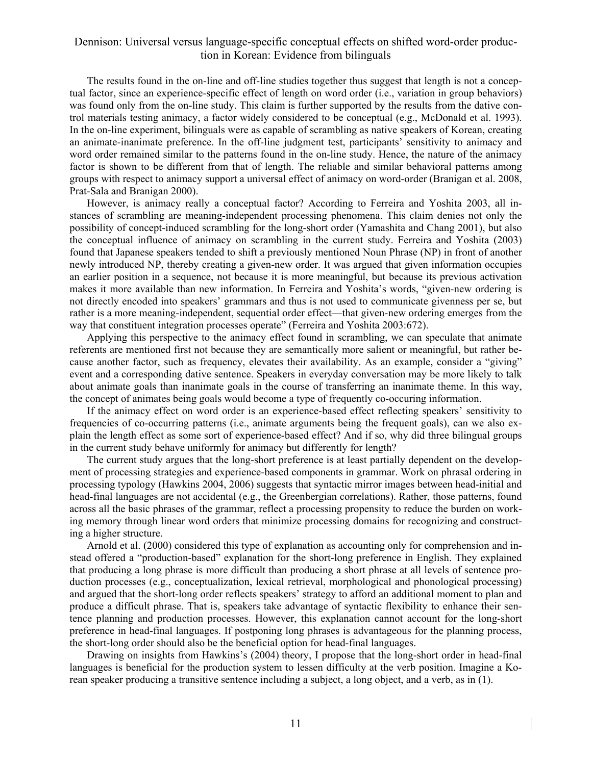The results found in the on-line and off-line studies together thus suggest that length is not a conceptual factor, since an experience-specific effect of length on word order (i.e., variation in group behaviors) was found only from the on-line study. This claim is further supported by the results from the dative control materials testing animacy, a factor widely considered to be conceptual (e.g., McDonald et al. 1993). In the on-line experiment, bilinguals were as capable of scrambling as native speakers of Korean, creating an animate-inanimate preference. In the off-line judgment test, participants' sensitivity to animacy and word order remained similar to the patterns found in the on-line study. Hence, the nature of the animacy factor is shown to be different from that of length. The reliable and similar behavioral patterns among groups with respect to animacy support a universal effect of animacy on word-order (Branigan et al. 2008, Prat-Sala and Branigan 2000).

However, is animacy really a conceptual factor? According to Ferreira and Yoshita 2003, all instances of scrambling are meaning-independent processing phenomena. This claim denies not only the possibility of concept-induced scrambling for the long-short order (Yamashita and Chang 2001), but also the conceptual influence of animacy on scrambling in the current study. Ferreira and Yoshita (2003) found that Japanese speakers tended to shift a previously mentioned Noun Phrase (NP) in front of another newly introduced NP, thereby creating a given-new order. It was argued that given information occupies an earlier position in a sequence, not because it is more meaningful, but because its previous activation makes it more available than new information. In Ferreira and Yoshita's words, "given-new ordering is not directly encoded into speakers' grammars and thus is not used to communicate givenness per se, but rather is a more meaning-independent, sequential order effect—that given-new ordering emerges from the way that constituent integration processes operate" (Ferreira and Yoshita 2003:672).

Applying this perspective to the animacy effect found in scrambling, we can speculate that animate referents are mentioned first not because they are semantically more salient or meaningful, but rather because another factor, such as frequency, elevates their availability. As an example, consider a "giving" event and a corresponding dative sentence. Speakers in everyday conversation may be more likely to talk about animate goals than inanimate goals in the course of transferring an inanimate theme. In this way, the concept of animates being goals would become a type of frequently co-occuring information.

If the animacy effect on word order is an experience-based effect reflecting speakers' sensitivity to frequencies of co-occurring patterns (i.e., animate arguments being the frequent goals), can we also explain the length effect as some sort of experience-based effect? And if so, why did three bilingual groups in the current study behave uniformly for animacy but differently for length?

The current study argues that the long-short preference is at least partially dependent on the development of processing strategies and experience-based components in grammar. Work on phrasal ordering in processing typology (Hawkins 2004, 2006) suggests that syntactic mirror images between head-initial and head-final languages are not accidental (e.g., the Greenbergian correlations). Rather, those patterns, found across all the basic phrases of the grammar, reflect a processing propensity to reduce the burden on working memory through linear word orders that minimize processing domains for recognizing and constructing a higher structure.

Arnold et al. (2000) considered this type of explanation as accounting only for comprehension and instead offered a "production-based" explanation for the short-long preference in English. They explained that producing a long phrase is more difficult than producing a short phrase at all levels of sentence production processes (e.g., conceptualization, lexical retrieval, morphological and phonological processing) and argued that the short-long order reflects speakers' strategy to afford an additional moment to plan and produce a difficult phrase. That is, speakers take advantage of syntactic flexibility to enhance their sentence planning and production processes. However, this explanation cannot account for the long-short preference in head-final languages. If postponing long phrases is advantageous for the planning process, the short-long order should also be the beneficial option for head-final languages.

Drawing on insights from Hawkins's (2004) theory, I propose that the long-short order in head-final languages is beneficial for the production system to lessen difficulty at the verb position. Imagine a Korean speaker producing a transitive sentence including a subject, a long object, and a verb, as in (1).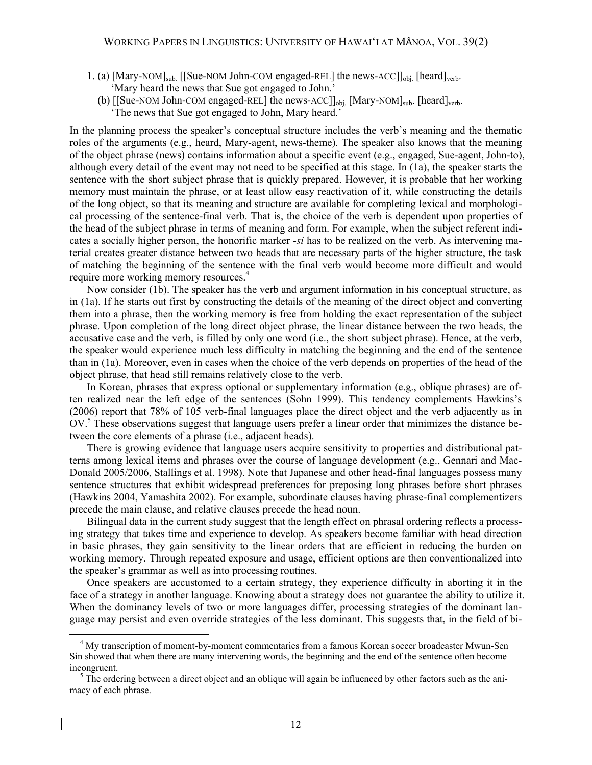- 1. (a) [Mary-NOM]<sub>sub.</sub> [[Sue-NOM John-COM engaged-REL] the news-ACC]]<sub>obj.</sub> [heard]<sub>verb-</sub> 'Mary heard the news that Sue got engaged to John.'
	- (b) [[Sue-NOM John-COM engaged-REL] the news-ACC]]<sub>obj,</sub> [Mary-NOM]<sub>sub</sub>. [heard]<sub>verb</sub>. 'The news that Sue got engaged to John, Mary heard.'

In the planning process the speaker's conceptual structure includes the verb's meaning and the thematic roles of the arguments (e.g., heard, Mary-agent, news-theme). The speaker also knows that the meaning of the object phrase (news) contains information about a specific event (e.g., engaged, Sue-agent, John-to), although every detail of the event may not need to be specified at this stage. In (1a), the speaker starts the sentence with the short subject phrase that is quickly prepared. However, it is probable that her working memory must maintain the phrase, or at least allow easy reactivation of it, while constructing the details of the long object, so that its meaning and structure are available for completing lexical and morphological processing of the sentence-final verb. That is, the choice of the verb is dependent upon properties of the head of the subject phrase in terms of meaning and form. For example, when the subject referent indicates a socially higher person, the honorific marker *-si* has to be realized on the verb. As intervening material creates greater distance between two heads that are necessary parts of the higher structure, the task of matching the beginning of the sentence with the final verb would become more difficult and would require more working memory resources.<sup>4</sup>

Now consider (1b). The speaker has the verb and argument information in his conceptual structure, as in (1a). If he starts out first by constructing the details of the meaning of the direct object and converting them into a phrase, then the working memory is free from holding the exact representation of the subject phrase. Upon completion of the long direct object phrase, the linear distance between the two heads, the accusative case and the verb, is filled by only one word (i.e., the short subject phrase). Hence, at the verb, the speaker would experience much less difficulty in matching the beginning and the end of the sentence than in (1a). Moreover, even in cases when the choice of the verb depends on properties of the head of the object phrase, that head still remains relatively close to the verb.

In Korean, phrases that express optional or supplementary information (e.g., oblique phrases) are often realized near the left edge of the sentences (Sohn 1999). This tendency complements Hawkins's (2006) report that 78% of 105 verb-final languages place the direct object and the verb adjacently as in OV.<sup>5</sup> These observations suggest that language users prefer a linear order that minimizes the distance between the core elements of a phrase (i.e., adjacent heads).

There is growing evidence that language users acquire sensitivity to properties and distributional patterns among lexical items and phrases over the course of language development (e.g., Gennari and Mac-Donald 2005/2006, Stallings et al. 1998). Note that Japanese and other head-final languages possess many sentence structures that exhibit widespread preferences for preposing long phrases before short phrases (Hawkins 2004, Yamashita 2002). For example, subordinate clauses having phrase-final complementizers precede the main clause, and relative clauses precede the head noun.

Bilingual data in the current study suggest that the length effect on phrasal ordering reflects a processing strategy that takes time and experience to develop. As speakers become familiar with head direction in basic phrases, they gain sensitivity to the linear orders that are efficient in reducing the burden on working memory. Through repeated exposure and usage, efficient options are then conventionalized into the speaker's grammar as well as into processing routines.

Once speakers are accustomed to a certain strategy, they experience difficulty in aborting it in the face of a strategy in another language. Knowing about a strategy does not guarantee the ability to utilize it. When the dominancy levels of two or more languages differ, processing strategies of the dominant language may persist and even override strategies of the less dominant. This suggests that, in the field of bi-

 <sup>4</sup> My transcription of moment-by-moment commentaries from a famous Korean soccer broadcaster Mwun-Sen Sin showed that when there are many intervening words, the beginning and the end of the sentence often become incongruent.

 $5$  The ordering between a direct object and an oblique will again be influenced by other factors such as the animacy of each phrase.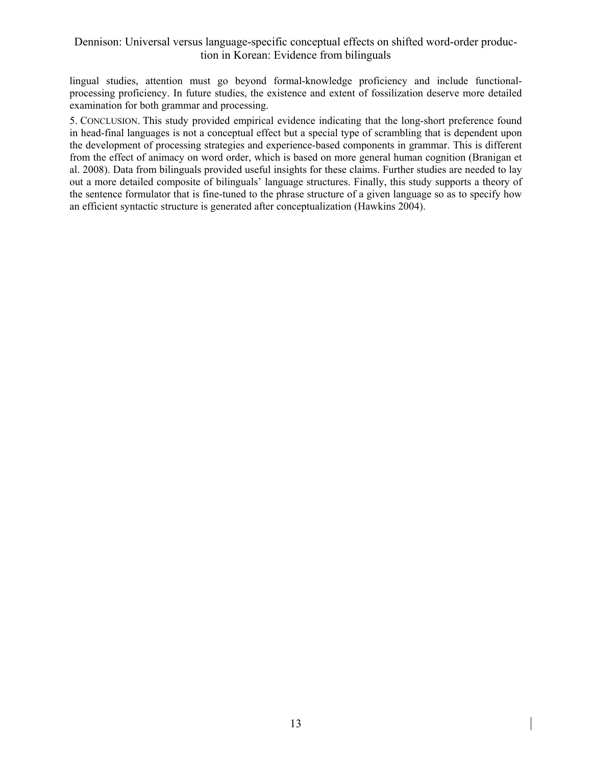lingual studies, attention must go beyond formal-knowledge proficiency and include functionalprocessing proficiency. In future studies, the existence and extent of fossilization deserve more detailed examination for both grammar and processing.

5. CONCLUSION. This study provided empirical evidence indicating that the long-short preference found in head-final languages is not a conceptual effect but a special type of scrambling that is dependent upon the development of processing strategies and experience-based components in grammar. This is different from the effect of animacy on word order, which is based on more general human cognition (Branigan et al. 2008). Data from bilinguals provided useful insights for these claims. Further studies are needed to lay out a more detailed composite of bilinguals' language structures. Finally, this study supports a theory of the sentence formulator that is fine-tuned to the phrase structure of a given language so as to specify how an efficient syntactic structure is generated after conceptualization (Hawkins 2004).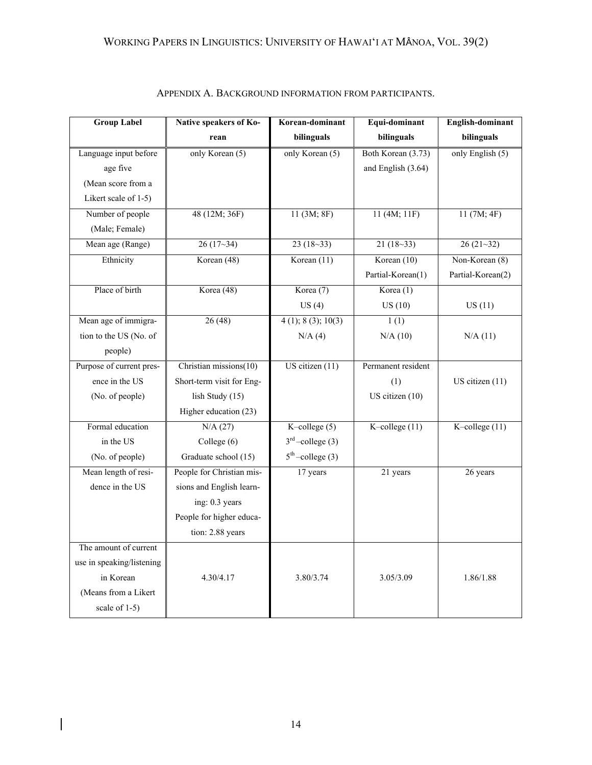| <b>Group Label</b>        | Native speakers of Ko-    | Korean-dominant                  | Equi-dominant      | English-dominant   |
|---------------------------|---------------------------|----------------------------------|--------------------|--------------------|
|                           | rean                      | bilinguals                       | bilinguals         | bilinguals         |
| Language input before     | only Korean (5)           | only Korean (5)                  | Both Korean (3.73) | only English $(5)$ |
| age five                  |                           |                                  | and English (3.64) |                    |
| (Mean score from a        |                           |                                  |                    |                    |
| Likert scale of 1-5)      |                           |                                  |                    |                    |
| Number of people          | 48 (12M; 36F)             | 11 (3M; 8F)                      | 11 (4M; 11F)       | 11(7M; 4F)         |
| (Male; Female)            |                           |                                  |                    |                    |
| Mean age (Range)          | $26(17-34)$               | $23(18-33)$                      | $21(18-33)$        | $26(21-32)$        |
| Ethnicity                 | Korean (48)               | Korean $(11)$                    | Korean $(10)$      | Non-Korean (8)     |
|                           |                           |                                  | Partial-Korean(1)  | Partial-Korean(2)  |
| Place of birth            | Korea (48)                | Korea (7)                        | Korea $(1)$        |                    |
|                           |                           | US(4)                            | US(10)             | US(11)             |
| Mean age of immigra-      | 26(48)                    | $\overline{4(1)}$ ; 8 (3); 10(3) | 1(1)               |                    |
| tion to the US (No. of    |                           | N/A(4)                           | N/A(10)            | N/A(11)            |
| people)                   |                           |                                  |                    |                    |
| Purpose of current pres-  | Christian missions(10)    | US citizen $(11)$                | Permanent resident |                    |
| ence in the US            | Short-term visit for Eng- |                                  | (1)                | US citizen (11)    |
| (No. of people)           | lish Study (15)           |                                  | US citizen (10)    |                    |
|                           | Higher education (23)     |                                  |                    |                    |
| Formal education          | N/A(27)                   | K-college $(5)$                  | K-college $(11)$   | K-college $(11)$   |
| in the US                 | College (6)               | $3rd$ -college (3)               |                    |                    |
| (No. of people)           | Graduate school (15)      | $5th$ -college (3)               |                    |                    |
| Mean length of resi-      | People for Christian mis- | 17 years                         | 21 years           | 26 years           |
| dence in the US           | sions and English learn-  |                                  |                    |                    |
|                           | ing: 0.3 years            |                                  |                    |                    |
|                           | People for higher educa-  |                                  |                    |                    |
|                           | tion: 2.88 years          |                                  |                    |                    |
| The amount of current     |                           |                                  |                    |                    |
| use in speaking/listening |                           |                                  |                    |                    |
| in Korean                 | 4.30/4.17                 | 3.80/3.74                        | 3.05/3.09          | 1.86/1.88          |
| (Means from a Likert      |                           |                                  |                    |                    |
| scale of 1-5)             |                           |                                  |                    |                    |

|  |  |  | APPENDIX A. BACKGROUND INFORMATION FROM PARTICIPANTS. |
|--|--|--|-------------------------------------------------------|
|--|--|--|-------------------------------------------------------|

 $\overline{\phantom{a}}$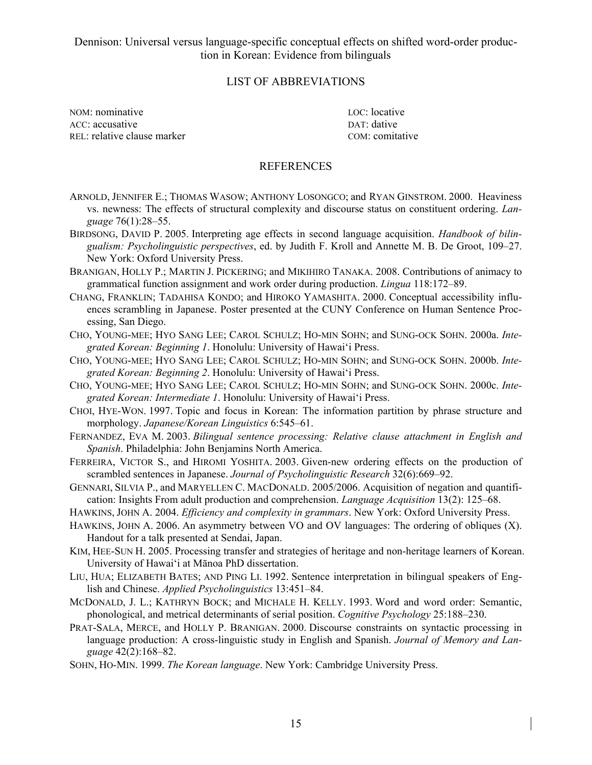### LIST OF ABBREVIATIONS

NOM: nominative LOC: locative LOC: locative ACC: accusative DAT: dative DAT: dative REL: relative clause marker COM: comitative

### **REFERENCES**

- ARNOLD, JENNIFER E.; THOMAS WASOW; ANTHONY LOSONGCO; and RYAN GINSTROM. 2000. Heaviness vs. newness: The effects of structural complexity and discourse status on constituent ordering. *Language* 76(1):28–55.
- BIRDSONG, DAVID P. 2005. Interpreting age effects in second language acquisition. *Handbook of bilingualism: Psycholinguistic perspectives*, ed. by Judith F. Kroll and Annette M. B. De Groot, 109–27. New York: Oxford University Press.
- BRANIGAN, HOLLY P.; MARTIN J. PICKERING; and MIKIHIRO TANAKA. 2008. Contributions of animacy to grammatical function assignment and work order during production. *Lingua* 118:172–89.
- CHANG, FRANKLIN; TADAHISA KONDO; and HIROKO YAMASHITA. 2000. Conceptual accessibility influences scrambling in Japanese. Poster presented at the CUNY Conference on Human Sentence Processing, San Diego.
- CHO, YOUNG-MEE; HYO SANG LEE; CAROL SCHULZ; HO-MIN SOHN; and SUNG-OCK SOHN. 2000a. *Integrated Korean: Beginning 1*. Honolulu: University of Hawai'i Press.
- CHO, YOUNG-MEE; HYO SANG LEE; CAROL SCHULZ; HO-MIN SOHN; and SUNG-OCK SOHN. 2000b. *Integrated Korean: Beginning 2*. Honolulu: University of Hawai'i Press.
- CHO, YOUNG-MEE; HYO SANG LEE; CAROL SCHULZ; HO-MIN SOHN; and SUNG-OCK SOHN. 2000c. *Integrated Korean: Intermediate 1*. Honolulu: University of Hawai'i Press.
- CHOI, HYE-WON. 1997. Topic and focus in Korean: The information partition by phrase structure and morphology. *Japanese/Korean Linguistics* 6:545–61.
- FERNANDEZ, EVA M. 2003. *Bilingual sentence processing: Relative clause attachment in English and Spanish*. Philadelphia: John Benjamins North America.
- FERREIRA, VICTOR S., and HIROMI YOSHITA. 2003. Given-new ordering effects on the production of scrambled sentences in Japanese. *Journal of Psycholinguistic Research* 32(6):669–92.
- GENNARI, SILVIA P., and MARYELLEN C. MACDONALD. 2005/2006. Acquisition of negation and quantification: Insights From adult production and comprehension. *Language Acquisition* 13(2): 125–68.
- HAWKINS, JOHN A. 2004. *Efficiency and complexity in grammars*. New York: Oxford University Press.
- HAWKINS, JOHN A. 2006. An asymmetry between VO and OV languages: The ordering of obliques (X). Handout for a talk presented at Sendai, Japan.
- KIM, HEE-SUN H. 2005. Processing transfer and strategies of heritage and non-heritage learners of Korean. University of Hawai'i at Mānoa PhD dissertation.
- LIU, HUA; ELIZABETH BATES; AND PING LI. 1992. Sentence interpretation in bilingual speakers of English and Chinese. *Applied Psycholinguistics* 13:451–84.
- MCDONALD, J. L.; KATHRYN BOCK; and MICHALE H. KELLY. 1993. Word and word order: Semantic, phonological, and metrical determinants of serial position. *Cognitive Psychology* 25:188–230.
- PRAT-SALA, MERCE, and HOLLY P. BRANIGAN. 2000. Discourse constraints on syntactic processing in language production: A cross-linguistic study in English and Spanish. *Journal of Memory and Language* 42(2):168–82.
- SOHN, HO-MIN. 1999. *The Korean language*. New York: Cambridge University Press.